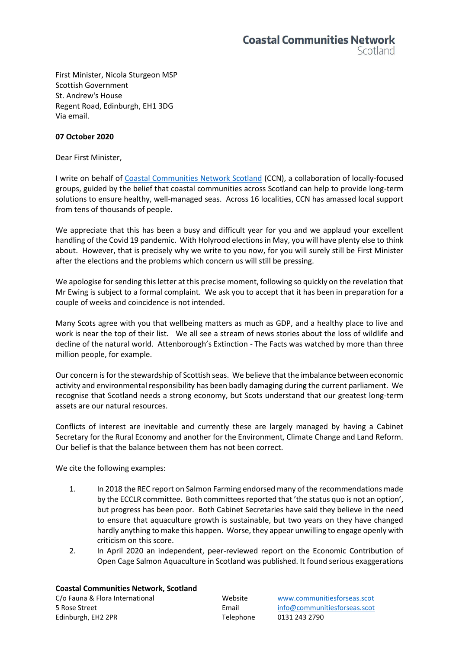First Minister, Nicola Sturgeon MSP Scottish Government St. Andrew's House Regent Road, Edinburgh, EH1 3DG Via email.

## **07 October 2020**

Dear First Minister,

I write on behalf of [Coastal Communities Network Scotland](http://www.communitiesforseas.scot/) (CCN), a collaboration of locally-focused groups, guided by the belief that coastal communities across Scotland can help to provide long-term solutions to ensure healthy, well-managed seas. Across 16 localities, CCN has amassed local support from tens of thousands of people.

We appreciate that this has been a busy and difficult year for you and we applaud your excellent handling of the Covid 19 pandemic. With Holyrood elections in May, you will have plenty else to think about. However, that is precisely why we write to you now, for you will surely still be First Minister after the elections and the problems which concern us will still be pressing.

We apologise for sending this letter at this precise moment, following so quickly on the revelation that Mr Ewing is subject to a formal complaint. We ask you to accept that it has been in preparation for a couple of weeks and coincidence is not intended.

Many Scots agree with you that wellbeing matters as much as GDP, and a healthy place to live and work is near the top of their list. We all see a stream of news stories about the loss of wildlife and decline of the natural world. Attenborough's Extinction - The Facts was watched by more than three million people, for example.

Our concern is for the stewardship of Scottish seas. We believe that the imbalance between economic activity and environmental responsibility has been badly damaging during the current parliament. We recognise that Scotland needs a strong economy, but Scots understand that our greatest long-term assets are our natural resources.

Conflicts of interest are inevitable and currently these are largely managed by having a Cabinet Secretary for the Rural Economy and another for the Environment, Climate Change and Land Reform. Our belief is that the balance between them has not been correct.

We cite the following examples:

- 1. In 2018 the REC report on Salmon Farming endorsed many of the recommendations made by the ECCLR committee. Both committees reported that 'the status quo is not an option', but progress has been poor. Both Cabinet Secretaries have said they believe in the need to ensure that aquaculture growth is sustainable, but two years on they have changed hardly anything to make this happen. Worse, they appear unwilling to engage openly with criticism on this score.
- 2. In April 2020 an independent, peer-reviewed report on the Economic Contribution of Open Cage Salmon Aquaculture in Scotland was published. It found serious exaggerations

## **Coastal Communities Network, Scotland**

C/o Fauna & Flora International Website [www.communitiesforseas.scot](http://www.communitiesforseas.scot/) 5 Rose Street Email [info@communitiesforseas.scot](mailto:info@communitiesforseas.scot) Edinburgh, EH2 2PR Telephone 0131 243 2790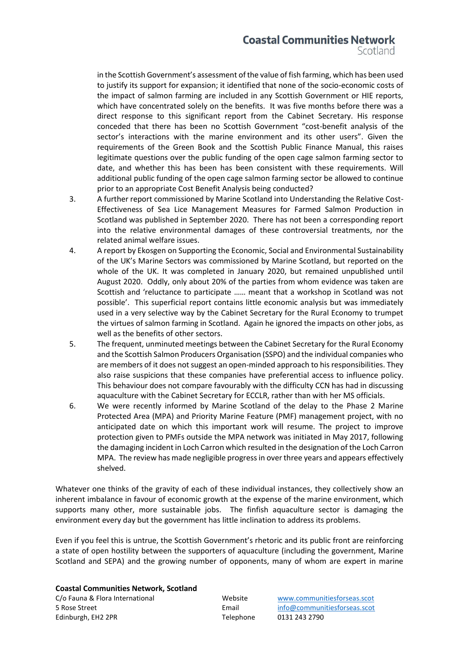## **Coastal Communities Network**

Scotland

in the Scottish Government's assessment of the value of fish farming, which has been used to justify its support for expansion; it identified that none of the socio-economic costs of the impact of salmon farming are included in any Scottish Government or HIE reports, which have concentrated solely on the benefits. It was five months before there was a direct response to this significant report from the Cabinet Secretary. His response conceded that there has been no Scottish Government "cost-benefit analysis of the sector's interactions with the marine environment and its other users". Given the requirements of the Green Book and the Scottish Public Finance Manual, this raises legitimate questions over the public funding of the open cage salmon farming sector to date, and whether this has been has been consistent with these requirements. Will additional public funding of the open cage salmon farming sector be allowed to continue prior to an appropriate Cost Benefit Analysis being conducted?

- 3. A further report commissioned by Marine Scotland into Understanding the Relative Cost-Effectiveness of Sea Lice Management Measures for Farmed Salmon Production in Scotland was published in September 2020. There has not been a corresponding report into the relative environmental damages of these controversial treatments, nor the related animal welfare issues.
- 4. A report by Ekosgen on Supporting the Economic, Social and Environmental Sustainability of the UK's Marine Sectors was commissioned by Marine Scotland, but reported on the whole of the UK. It was completed in January 2020, but remained unpublished until August 2020. Oddly, only about 20% of the parties from whom evidence was taken are Scottish and 'reluctance to participate …… meant that a workshop in Scotland was not possible'. This superficial report contains little economic analysis but was immediately used in a very selective way by the Cabinet Secretary for the Rural Economy to trumpet the virtues of salmon farming in Scotland. Again he ignored the impacts on other jobs, as well as the benefits of other sectors.
- 5. The frequent, unminuted meetings between the Cabinet Secretary for the Rural Economy and the Scottish Salmon Producers Organisation (SSPO) and the individual companies who are members of it does not suggest an open-minded approach to his responsibilities. They also raise suspicions that these companies have preferential access to influence policy. This behaviour does not compare favourably with the difficulty CCN has had in discussing aquaculture with the Cabinet Secretary for ECCLR, rather than with her MS officials.
- 6. We were recently informed by Marine Scotland of the delay to the Phase 2 Marine Protected Area (MPA) and Priority Marine Feature (PMF) management project, with no anticipated date on which this important work will resume. The project to improve protection given to PMFs outside the MPA network was initiated in May 2017, following the damaging incident in Loch Carron which resulted in the designation of the Loch Carron MPA. The review has made negligible progress in over three years and appears effectively shelved.

Whatever one thinks of the gravity of each of these individual instances, they collectively show an inherent imbalance in favour of economic growth at the expense of the marine environment, which supports many other, more sustainable jobs. The finfish aquaculture sector is damaging the environment every day but the government has little inclination to address its problems.

Even if you feel this is untrue, the Scottish Government's rhetoric and its public front are reinforcing a state of open hostility between the supporters of aquaculture (including the government, Marine Scotland and SEPA) and the growing number of opponents, many of whom are expert in marine

**Coastal Communities Network, Scotland**

C/o Fauna & Flora International Website [www.communitiesforseas.scot](http://www.communitiesforseas.scot/) 5 Rose Street Email [info@communitiesforseas.scot](mailto:info@communitiesforseas.scot) Edinburgh, EH2 2PR Telephone 0131 243 2790